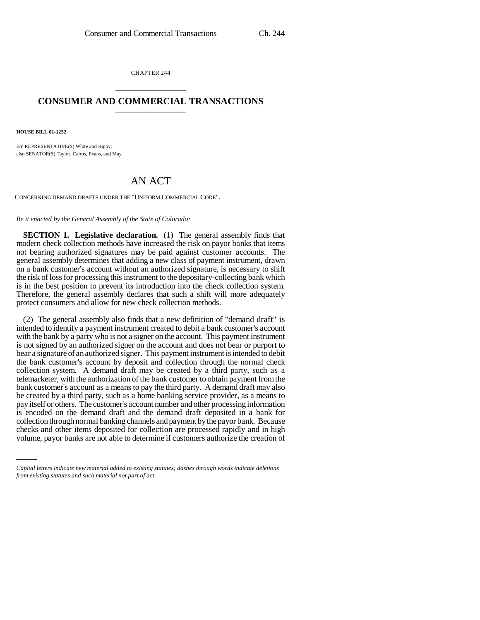CHAPTER 244 \_\_\_\_\_\_\_\_\_\_\_\_\_\_\_

## **CONSUMER AND COMMERCIAL TRANSACTIONS** \_\_\_\_\_\_\_\_\_\_\_\_\_\_\_

**HOUSE BILL 01-1252**

BY REPRESENTATIVE(S) White and Rippy; also SENATOR(S) Taylor, Cairns, Evans, and May.

## AN ACT

CONCERNING DEMAND DRAFTS UNDER THE "UNIFORM COMMERCIAL CODE".

*Be it enacted by the General Assembly of the State of Colorado:*

**SECTION 1. Legislative declaration.** (1) The general assembly finds that modern check collection methods have increased the risk on payor banks that items not bearing authorized signatures may be paid against customer accounts. The general assembly determines that adding a new class of payment instrument, drawn on a bank customer's account without an authorized signature, is necessary to shift the risk of loss for processing this instrument to the depositary-collecting bank which is in the best position to prevent its introduction into the check collection system. Therefore, the general assembly declares that such a shift will more adequately protect consumers and allow for new check collection methods.

collection through normal banking channels and payment by the payor bank. Because (2) The general assembly also finds that a new definition of "demand draft" is intended to identify a payment instrument created to debit a bank customer's account with the bank by a party who is not a signer on the account. This payment instrument is not signed by an authorized signer on the account and does not bear or purport to bear a signature of an authorized signer. This payment instrument is intended to debit the bank customer's account by deposit and collection through the normal check collection system. A demand draft may be created by a third party, such as a telemarketer, with the authorization of the bank customer to obtain payment from the bank customer's account as a means to pay the third party. A demand draft may also be created by a third party, such as a home banking service provider, as a means to pay itself or others. The customer's account number and other processing information is encoded on the demand draft and the demand draft deposited in a bank for checks and other items deposited for collection are processed rapidly and in high volume, payor banks are not able to determine if customers authorize the creation of

*Capital letters indicate new material added to existing statutes; dashes through words indicate deletions from existing statutes and such material not part of act.*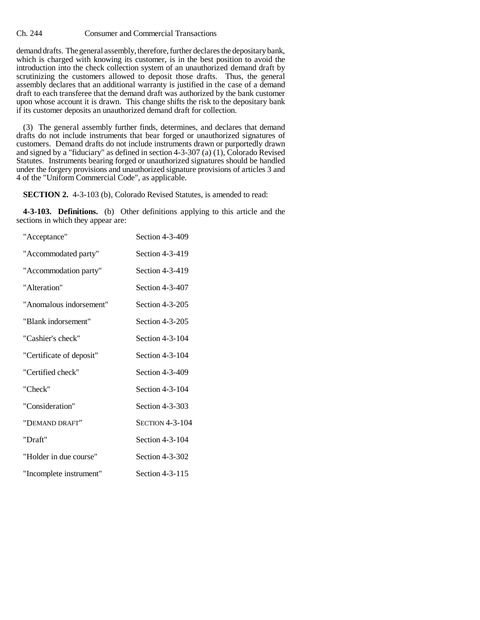Ch. 244 Consumer and Commercial Transactions

demand drafts. The general assembly, therefore, further declares the depositary bank, which is charged with knowing its customer, is in the best position to avoid the introduction into the check collection system of an unauthorized demand draft by scrutinizing the customers allowed to deposit those drafts. Thus, the general assembly declares that an additional warranty is justified in the case of a demand draft to each transferee that the demand draft was authorized by the bank customer upon whose account it is drawn. This change shifts the risk to the depositary bank if its customer deposits an unauthorized demand draft for collection.

(3) The general assembly further finds, determines, and declares that demand drafts do not include instruments that bear forged or unauthorized signatures of customers. Demand drafts do not include instruments drawn or purportedly drawn and signed by a "fiduciary" as defined in section 4-3-307 (a) (1), Colorado Revised Statutes. Instruments bearing forged or unauthorized signatures should be handled under the forgery provisions and unauthorized signature provisions of articles 3 and 4 of the "Uniform Commercial Code", as applicable.

**SECTION 2.** 4-3-103 (b), Colorado Revised Statutes, is amended to read:

**4-3-103. Definitions.** (b) Other definitions applying to this article and the sections in which they appear are:

| "Acceptance"             | Section 4-3-409        |
|--------------------------|------------------------|
| "Accommodated party"     | Section 4-3-419        |
| "Accommodation party"    | Section 4-3-419        |
| "Alteration"             | Section 4-3-407        |
| "Anomalous indorsement"  | Section 4-3-205        |
| "Blank indorsement"      | Section 4-3-205        |
| "Cashier's check"        | Section 4-3-104        |
| "Certificate of deposit" | Section 4-3-104        |
| "Certified check"        | Section 4-3-409        |
| "Check"                  | Section 4-3-104        |
| "Consideration"          | Section 4-3-303        |
| "DEMAND DRAFT"           | <b>SECTION 4-3-104</b> |
| "Draft"                  | Section 4-3-104        |
| "Holder in due course"   | Section 4-3-302        |
| "Incomplete instrument"  | Section 4-3-115        |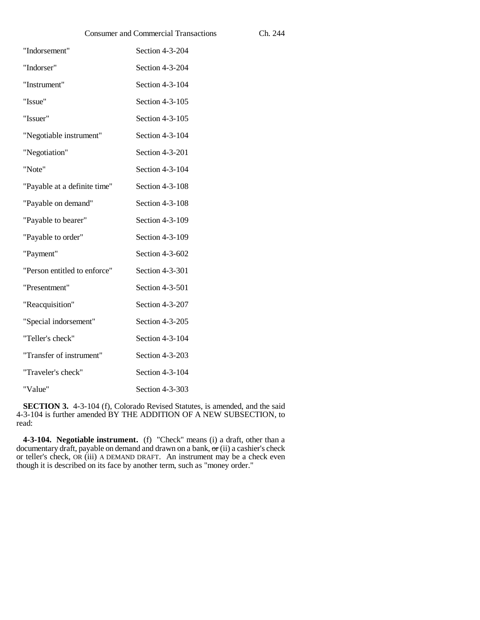| <b>Consumer and Commercial Transactions</b> |                 | Ch. 244 |
|---------------------------------------------|-----------------|---------|
| "Indorsement"                               | Section 4-3-204 |         |
| "Indorser"                                  | Section 4-3-204 |         |
| "Instrument"                                | Section 4-3-104 |         |
| "Issue"                                     | Section 4-3-105 |         |
| "Issuer"                                    | Section 4-3-105 |         |
| "Negotiable instrument"                     | Section 4-3-104 |         |
| "Negotiation"                               | Section 4-3-201 |         |
| "Note"                                      | Section 4-3-104 |         |
| "Payable at a definite time"                | Section 4-3-108 |         |
| "Payable on demand"                         | Section 4-3-108 |         |
| "Payable to bearer"                         | Section 4-3-109 |         |
| "Payable to order"                          | Section 4-3-109 |         |
| "Payment"                                   | Section 4-3-602 |         |
| "Person entitled to enforce"                | Section 4-3-301 |         |
| "Presentment"                               | Section 4-3-501 |         |
| "Reacquisition"                             | Section 4-3-207 |         |
| "Special indorsement"                       | Section 4-3-205 |         |
| "Teller's check"                            | Section 4-3-104 |         |
| "Transfer of instrument"                    | Section 4-3-203 |         |
| "Traveler's check"                          | Section 4-3-104 |         |
| "Value"                                     | Section 4-3-303 |         |

**SECTION 3.** 4-3-104 (f), Colorado Revised Statutes, is amended, and the said 4-3-104 is further amended BY THE ADDITION OF A NEW SUBSECTION, to read:

**4-3-104. Negotiable instrument.** (f) "Check" means (i) a draft, other than a documentary draft, payable on demand and drawn on a bank, or (ii) a cashier's check or teller's check, OR (iii) A DEMAND DRAFT. An instrument may be a check even though it is described on its face by another term, such as "money order."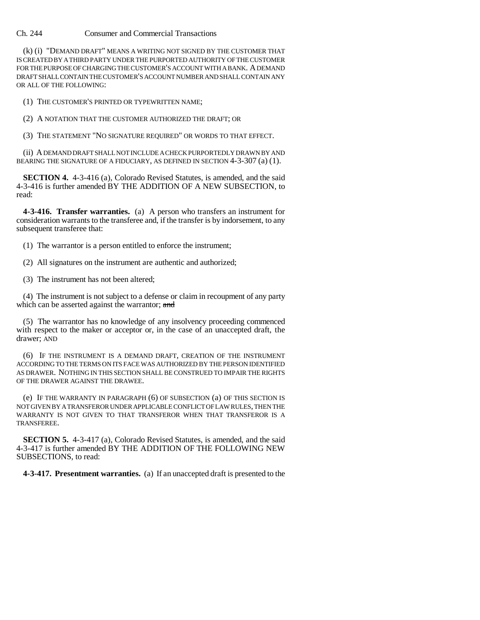Ch. 244 Consumer and Commercial Transactions

(k) (i) "DEMAND DRAFT" MEANS A WRITING NOT SIGNED BY THE CUSTOMER THAT IS CREATED BY A THIRD PARTY UNDER THE PURPORTED AUTHORITY OF THE CUSTOMER FOR THE PURPOSE OF CHARGING THE CUSTOMER'S ACCOUNT WITH A BANK. A DEMAND DRAFT SHALL CONTAIN THE CUSTOMER'S ACCOUNT NUMBER AND SHALL CONTAIN ANY OR ALL OF THE FOLLOWING:

(1) THE CUSTOMER'S PRINTED OR TYPEWRITTEN NAME;

(2) A NOTATION THAT THE CUSTOMER AUTHORIZED THE DRAFT; OR

(3) THE STATEMENT "NO SIGNATURE REQUIRED" OR WORDS TO THAT EFFECT.

(ii) A DEMAND DRAFT SHALL NOT INCLUDE A CHECK PURPORTEDLY DRAWN BY AND BEARING THE SIGNATURE OF A FIDUCIARY, AS DEFINED IN SECTION 4-3-307 (a) (1).

**SECTION 4.** 4-3-416 (a), Colorado Revised Statutes, is amended, and the said 4-3-416 is further amended BY THE ADDITION OF A NEW SUBSECTION, to read:

**4-3-416. Transfer warranties.** (a) A person who transfers an instrument for consideration warrants to the transferee and, if the transfer is by indorsement, to any subsequent transferee that:

(1) The warrantor is a person entitled to enforce the instrument;

(2) All signatures on the instrument are authentic and authorized;

(3) The instrument has not been altered;

(4) The instrument is not subject to a defense or claim in recoupment of any party which can be asserted against the warrantor; and

(5) The warrantor has no knowledge of any insolvency proceeding commenced with respect to the maker or acceptor or, in the case of an unaccepted draft, the drawer; AND

(6) IF THE INSTRUMENT IS A DEMAND DRAFT, CREATION OF THE INSTRUMENT ACCORDING TO THE TERMS ON ITS FACE WAS AUTHORIZED BY THE PERSON IDENTIFIED AS DRAWER. NOTHING IN THIS SECTION SHALL BE CONSTRUED TO IMPAIR THE RIGHTS OF THE DRAWER AGAINST THE DRAWEE.

(e) IF THE WARRANTY IN PARAGRAPH (6) OF SUBSECTION (a) OF THIS SECTION IS NOT GIVEN BY A TRANSFEROR UNDER APPLICABLE CONFLICT OF LAW RULES, THEN THE WARRANTY IS NOT GIVEN TO THAT TRANSFEROR WHEN THAT TRANSFEROR IS A TRANSFEREE.

**SECTION 5.** 4-3-417 (a), Colorado Revised Statutes, is amended, and the said 4-3-417 is further amended BY THE ADDITION OF THE FOLLOWING NEW SUBSECTIONS, to read:

**4-3-417. Presentment warranties.** (a) If an unaccepted draft is presented to the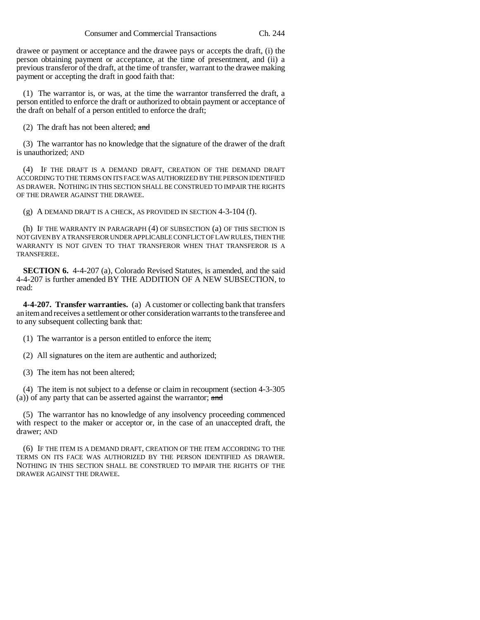drawee or payment or acceptance and the drawee pays or accepts the draft, (i) the person obtaining payment or acceptance, at the time of presentment, and (ii) a previous transferor of the draft, at the time of transfer, warrant to the drawee making payment or accepting the draft in good faith that:

(1) The warrantor is, or was, at the time the warrantor transferred the draft, a person entitled to enforce the draft or authorized to obtain payment or acceptance of the draft on behalf of a person entitled to enforce the draft;

(2) The draft has not been altered; and

(3) The warrantor has no knowledge that the signature of the drawer of the draft is unauthorized; AND

(4) IF THE DRAFT IS A DEMAND DRAFT, CREATION OF THE DEMAND DRAFT ACCORDING TO THE TERMS ON ITS FACE WAS AUTHORIZED BY THE PERSON IDENTIFIED AS DRAWER. NOTHING IN THIS SECTION SHALL BE CONSTRUED TO IMPAIR THE RIGHTS OF THE DRAWER AGAINST THE DRAWEE.

(g) A DEMAND DRAFT IS A CHECK, AS PROVIDED IN SECTION 4-3-104 (f).

(h) IF THE WARRANTY IN PARAGRAPH (4) OF SUBSECTION (a) OF THIS SECTION IS NOT GIVEN BY A TRANSFEROR UNDER APPLICABLE CONFLICT OF LAW RULES, THEN THE WARRANTY IS NOT GIVEN TO THAT TRANSFEROR WHEN THAT TRANSFEROR IS A TRANSFEREE.

**SECTION 6.** 4-4-207 (a), Colorado Revised Statutes, is amended, and the said 4-4-207 is further amended BY THE ADDITION OF A NEW SUBSECTION, to read:

**4-4-207. Transfer warranties.** (a) A customer or collecting bank that transfers an item and receives a settlement or other consideration warrants to the transferee and to any subsequent collecting bank that:

(1) The warrantor is a person entitled to enforce the item;

(2) All signatures on the item are authentic and authorized;

(3) The item has not been altered;

(4) The item is not subject to a defense or claim in recoupment (section 4-3-305 (a)) of any party that can be asserted against the warrantor; and

(5) The warrantor has no knowledge of any insolvency proceeding commenced with respect to the maker or acceptor or, in the case of an unaccepted draft, the drawer; AND

(6) IF THE ITEM IS A DEMAND DRAFT, CREATION OF THE ITEM ACCORDING TO THE TERMS ON ITS FACE WAS AUTHORIZED BY THE PERSON IDENTIFIED AS DRAWER. NOTHING IN THIS SECTION SHALL BE CONSTRUED TO IMPAIR THE RIGHTS OF THE DRAWER AGAINST THE DRAWEE.